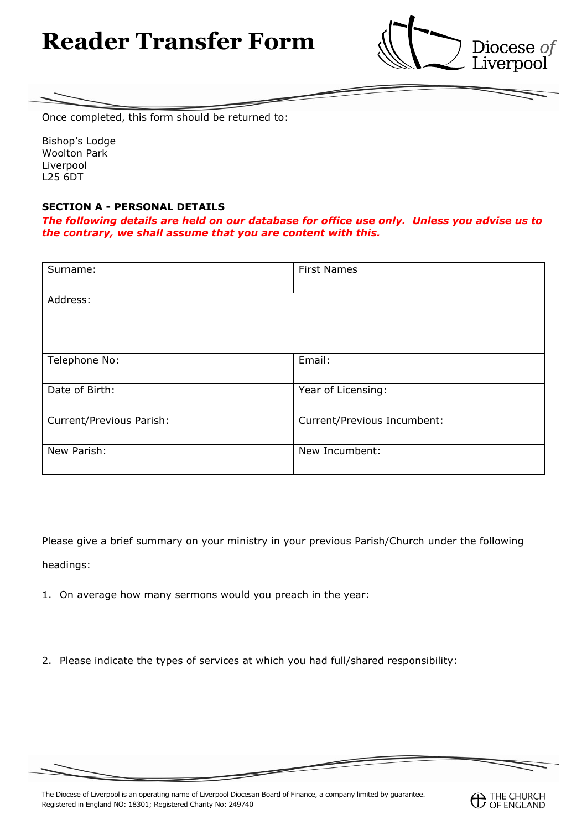# **Reader Transfer Form**



Once completed, this form should be returned to:

Bishop's Lodge Woolton Park Liverpool L25 6DT

## **SECTION A - PERSONAL DETAILS**

*The following details are held on our database for office use only. Unless you advise us to the contrary, we shall assume that you are content with this.*

| Surname:                 | <b>First Names</b>          |
|--------------------------|-----------------------------|
| Address:                 |                             |
| Telephone No:            | Email:                      |
| Date of Birth:           | Year of Licensing:          |
| Current/Previous Parish: | Current/Previous Incumbent: |
| New Parish:              | New Incumbent:              |

Please give a brief summary on your ministry in your previous Parish/Church under the following headings:

- 1. On average how many sermons would you preach in the year:
- 2. Please indicate the types of services at which you had full/shared responsibility: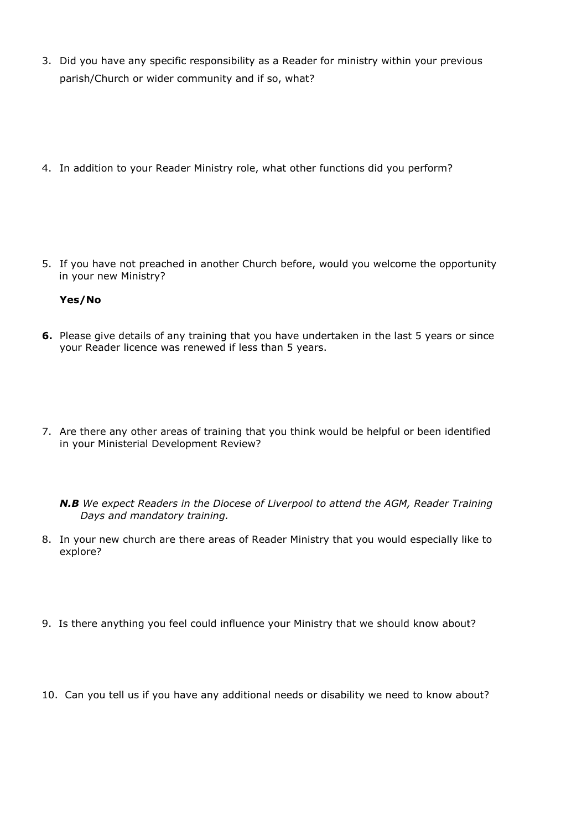- 3. Did you have any specific responsibility as a Reader for ministry within your previous parish/Church or wider community and if so, what?
- 4. In addition to your Reader Ministry role, what other functions did you perform?

5. If you have not preached in another Church before, would you welcome the opportunity in your new Ministry?

#### **Yes/No**

- **6.** Please give details of any training that you have undertaken in the last 5 years or since your Reader licence was renewed if less than 5 years.
- 7. Are there any other areas of training that you think would be helpful or been identified in your Ministerial Development Review?
	- *N.B We expect Readers in the Diocese of Liverpool to attend the AGM, Reader Training Days and mandatory training.*
- 8. In your new church are there areas of Reader Ministry that you would especially like to explore?
- 9. Is there anything you feel could influence your Ministry that we should know about?
- 10. Can you tell us if you have any additional needs or disability we need to know about?